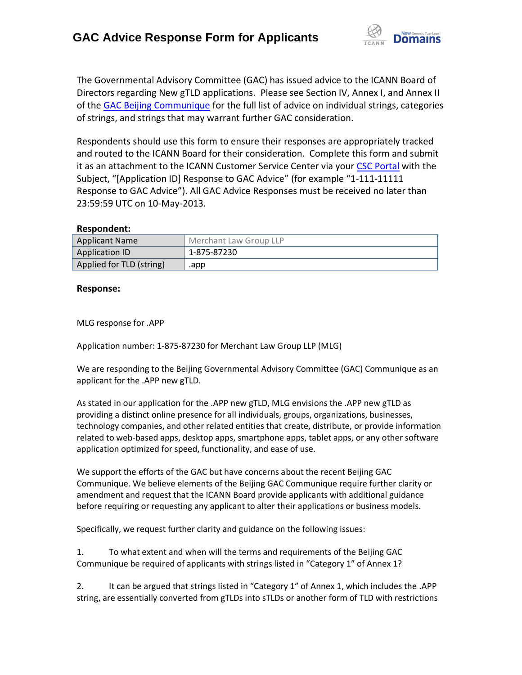

The Governmental Advisory Committee (GAC) has issued advice to the ICANN Board of Directors regarding New gTLD applications. Please see Section IV, Annex I, and Annex II of the [GAC Beijing Communique](http://www.icann.org/en/news/correspondence/gac-to-board-18apr13-en.pdf) for the full list of advice on individual strings, categories of strings, and strings that may warrant further GAC consideration.

Respondents should use this form to ensure their responses are appropriately tracked and routed to the ICANN Board for their consideration. Complete this form and submit it as an attachment to the ICANN Customer Service Center via your CSC [Portal](https://myicann.secure.force.com/) with the Subject, "[Application ID] Response to GAC Advice" (for example "1-111-11111 Response to GAC Advice"). All GAC Advice Responses must be received no later than 23:59:59 UTC on 10-May-2013.

## **Respondent:**

| <b>Applicant Name</b>    | Merchant Law Group LLP |
|--------------------------|------------------------|
| <b>Application ID</b>    | 1-875-87230            |
| Applied for TLD (string) | .app                   |

## **Response:**

MLG response for .APP

Application number: 1-875-87230 for Merchant Law Group LLP (MLG)

We are responding to the Beijing Governmental Advisory Committee (GAC) Communique as an applicant for the .APP new gTLD.

As stated in our application for the .APP new gTLD, MLG envisions the .APP new gTLD as providing a distinct online presence for all individuals, groups, organizations, businesses, technology companies, and other related entities that create, distribute, or provide information related to web-based apps, desktop apps, smartphone apps, tablet apps, or any other software application optimized for speed, functionality, and ease of use.

We support the efforts of the GAC but have concerns about the recent Beijing GAC Communique. We believe elements of the Beijing GAC Communique require further clarity or amendment and request that the ICANN Board provide applicants with additional guidance before requiring or requesting any applicant to alter their applications or business models.

Specifically, we request further clarity and guidance on the following issues:

1. To what extent and when will the terms and requirements of the Beijing GAC Communique be required of applicants with strings listed in "Category 1" of Annex 1?

2. It can be argued that strings listed in "Category 1" of Annex 1, which includes the .APP string, are essentially converted from gTLDs into sTLDs or another form of TLD with restrictions